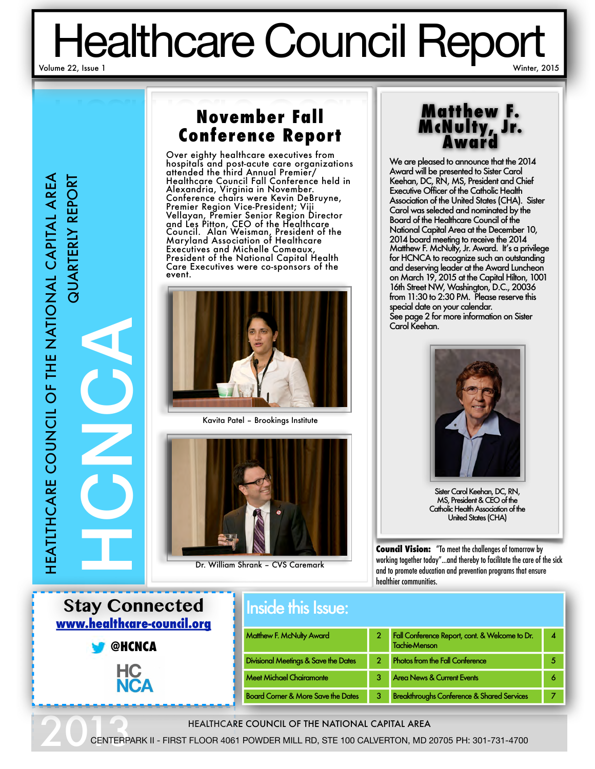# Healthcare Council Report

# **November Fall Conference Report**

Over eighty healthcare executives from hospitals and post-acute care organizations attended the third Annual Premier/ Healthcare Council Fall Conference held in Alexandria, Virginia in November. Conference chairs were Kevin DeBruyne, Premier Region Vice-President; Viji Vellayan, Premier Senior Region Director and Les Pitton, CEO of the Healthcare Council. Alan Weisman, President of the Maryland Association of Healthcare Executives and Michelle Comeaux, President of the National Capital Health Care Executives were co-sponsors of the event.



Kavita Patel – Brookings Institute



Dr. William Shrank – CVS Caremark

# **Matthew F. McNulty, Jr. Award**

We are pleased to announce that the 2014 Award will be presented to Sister Carol Keehan, DC, RN, MS, President and Chief Executive Officer of the Catholic Health Association of the United States (CHA). Sister Carol was selected and nominated by the Board of the Healthcare Council of the National Capital Area at the December 10, 2014 board meeting to receive the 2014 Matthew F. McNulty, Jr. Award. It's a privilege for HCNCA to recognize such an outstanding and deserving leader at the Award Luncheon on March 19, 2015 at the Capital Hilton, 1001 16th Street NW, Washington, D.C., 20036 from 11:30 to 2:30 PM. Please reserve this special date on your calendar. See page 2 for more information on Sister Carol Keehan.



Sister Carol Keehan, DC, RN, MS, President & CEO of the Catholic Health Association of the United States (CHA)

**Council Vision:** "To meet the challenges of tomorrow by working together today"...and thereby to facilitate the care of the sick and to promote education and prevention programs that ensure healthier communities.

| <b>Stay Connected</b><br>www.healthcare-council.org | <b>Inside this Issue:</b>                     |                |                                                                        |                         |
|-----------------------------------------------------|-----------------------------------------------|----------------|------------------------------------------------------------------------|-------------------------|
| <b>@HCNCA</b><br>ЧC<br><b>NCA</b>                   | Matthew F. McNulty Award                      |                | Fall Conference Report, cont. & Welcome to Dr.<br><b>Tachie Menson</b> | $\overline{\mathbf{A}}$ |
|                                                     | Divisional Meetings & Save the Dates          | $\overline{2}$ | <b>Photos from the Fall Conference</b>                                 | 5                       |
|                                                     | <b>Meet Michael Chairamonte</b>               | 3              | <b>Area News &amp; Current Events</b>                                  | 6                       |
|                                                     | <b>Board Corner &amp; More Save the Dates</b> | 3              | <b>Breakthroughs Conference &amp; Shared Services</b>                  | 7                       |

#### HEALTHCARE COUNCIL OF THE NATIONAL CAPITAL AREA

20 CENTERP CENTERPARK II - FIRST FLOOR 4061 POWDER MILL RD, STE 100 CALVERTON, MD 20705 PH: 301-731-4700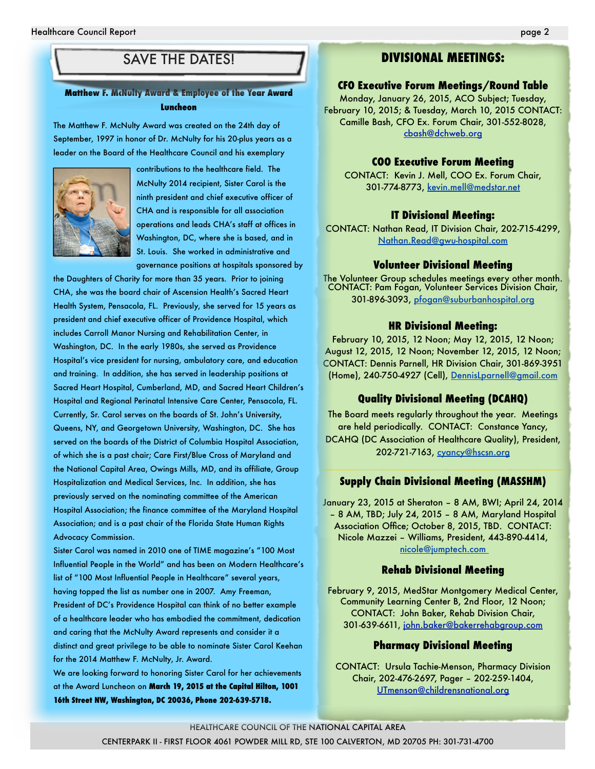### SAVE THE DATES!

#### **Matthew F. McNulty Award & Employee of the Year Award Luncheon**

The Matthew F. McNulty Award was created on the 24th day of September, 1997 in honor of Dr. McNulty for his 20-plus years as a leader on the Board of the Healthcare Council and his exemplary



contributions to the healthcare field. The McNulty 2014 recipient, Sister Carol is the ninth president and chief executive officer of CHA and is responsible for all association operations and leads CHA's staff at offices in Washington, DC, where she is based, and in St. Louis. She worked in administrative and governance positions at hospitals sponsored by

the Daughters of Charity for more than 35 years. Prior to joining CHA, she was the board chair of Ascension Health's Sacred Heart Health System, Pensacola, FL. Previously, she served for 15 years as president and chief executive officer of Providence Hospital, which includes Carroll Manor Nursing and Rehabilitation Center, in Washington, DC. In the early 1980s, she served as Providence Hospital's vice president for nursing, ambulatory care, and education and training. In addition, she has served in leadership positions at Sacred Heart Hospital, Cumberland, MD, and Sacred Heart Children's Hospital and Regional Perinatal Intensive Care Center, Pensacola, FL. Currently, Sr. Carol serves on the boards of St. John's University, Queens, NY, and Georgetown University, Washington, DC. She has served on the boards of the District of Columbia Hospital Association, of which she is a past chair; Care First/Blue Cross of Maryland and the National Capital Area, Owings Mills, MD, and its affiliate, Group Hospitalization and Medical Services, Inc. In addition, she has previously served on the nominating committee of the American Hospital Association; the finance committee of the Maryland Hospital Association; and is a past chair of the Florida State Human Rights Advocacy Commission.

Sister Carol was named in 2010 one of TIME magazine's "100 Most Influential People in the World" and has been on Modern Healthcare's list of "100 Most Influential People in Healthcare" several years, having topped the list as number one in 2007. Amy Freeman, President of DC's Providence Hospital can think of no better example of a healthcare leader who has embodied the commitment, dedication and caring that the McNulty Award represents and consider it a distinct and great privilege to be able to nominate Sister Carol Keehan for the 2014 Matthew F. McNulty, Jr. Award.

We are looking forward to honoring Sister Carol for her achievements at the Award Luncheon on **March 19, 2015 at the Capital Hilton, 1001 16th Street NW, Washington, DC 20036, Phone 202-639-5718.**

#### **DIVISIONAL MEETINGS:**

#### **CFO Executive Forum Meetings/Round Table**

Monday, January 26, 2015, ACO Subject; Tuesday, February 10, 2015; & Tuesday, March 10, 2015 CONTACT: Camille Bash, CFO Ex. Forum Chair, 301-552-8028, [cbash@dchweb.org](mailto:cbash@dchweb.org)

#### **COO Executive Forum Meeting**

CONTACT: Kevin J. Mell, COO Ex. Forum Chair, 301-774-8773, kevin.mell@medstar.net

#### **IT Divisional Meeting:**

CONTACT: Nathan Read, IT Division Chair, 202-715-4299, [Nathan.Read@gwu-hospital.com](mailto:smithhl@holycrosshealth.org)

#### **Volunteer Divisional Meeting**

The Volunteer Group schedules meetings every other month. CONTACT: Pam Fogan, Volunteer Services Division Chair, 301-896-3093, [pfogan@suburbanhospital.org](mailto:pfogan@suburbanhospital.org)

#### **HR Divisional Meeting:**

February 10, 2015, 12 Noon; May 12, 2015, 12 Noon; August 12, 2015, 12 Noon; November 12, 2015, 12 Noon; CONTACT: Dennis Parnell, HR Division Chair, 301-869-3951 (Home), 240-750-4927 (Cell), [DennisLparnell@gmail.com](mailto:DennisLparnell@gmail.com)

#### **Quality Divisional Meeting (DCAHQ)**

The Board meets regularly throughout the year. Meetings are held periodically. CONTACT: Constance Yancy, DCAHQ (DC Association of Healthcare Quality), President, 202-721-7163, [cyancy@hscsn.org](mailto:cyancy@hscsn.org)

#### **Supply Chain Divisional Meeting (MASSHM)**

January 23, 2015 at Sheraton – 8 AM, BWI; April 24, 2014 – 8 AM, TBD; July 24, 2015 – 8 AM, Maryland Hospital Association Office; October 8, 2015, TBD. CONTACT: Nicole Mazzei – Williams, President, 443-890-4414, [nicole@jumptech.com](mailto:nicole@jumptech.com)

#### **Rehab Divisional Meeting**

February 9, 2015, MedStar Montgomery Medical Center, Community Learning Center B, 2nd Floor, 12 Noon; CONTACT: John Baker, Rehab Division Chair, 301-639-6611, [john.baker@bakerrehabgroup.com](mailto:john.baker@bakerrehabgroup.com)

#### **Pharmacy Divisional Meeting**

CONTACT: Ursula Tachie-Menson, Pharmacy Division Chair, 202-476-2697, Pager – 202-259-1404, [UTmenson@childrensnational.org](mailto:UTmenson@childrensnational.org)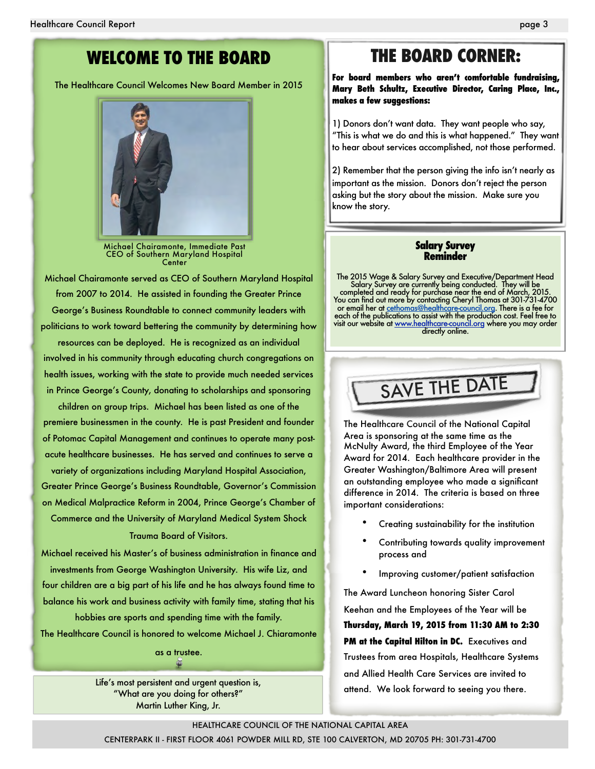### **WELCOME TO THE BOARD**

The Healthcare Council Welcomes New Board Member in 2015



Michael Chairamonte, Immediate Past CEO of Southern Maryland Hospital Center

Michael Chairamonte served as CEO of Southern Maryland Hospital from 2007 to 2014. He assisted in founding the Greater Prince George's Business Roundtable to connect community leaders with politicians to work toward bettering the community by determining how

resources can be deployed. He is recognized as an individual involved in his community through educating church congregations on health issues, working with the state to provide much needed services in Prince George's County, donating to scholarships and sponsoring

children on group trips. Michael has been listed as one of the premiere businessmen in the county. He is past President and founder of Potomac Capital Management and continues to operate many postacute healthcare businesses. He has served and continues to serve a variety of organizations including Maryland Hospital Association,

Greater Prince George's Business Roundtable, Governor's Commission on Medical Malpractice Reform in 2004, Prince George's Chamber of Commerce and the University of Maryland Medical System Shock Trauma Board of Visitors.

Michael received his Master's of business administration in finance and investments from George Washington University. His wife Liz, and four children are a big part of his life and he has always found time to balance his work and business activity with family time, stating that his hobbies are sports and spending time with the family.

The Healthcare Council is honored to welcome Michael J. Chiaramonte

as a trustee. G

Life's most persistent and urgent question is, "What are you doing for others?" Martin Luther King, Jr.

### **THE BOARD CORNER:**

**For board members who aren't comfortable fundraising, Mary Beth Schultz, Executive Director, Caring Place, Inc., makes a few suggestions:** 

1) Donors don't want data. They want people who say, "This is what we do and this is what happened." They want to hear about services accomplished, not those performed.

2) Remember that the person giving the info isn't nearly as important as the mission. Donors don't reject the person asking but the story about the mission. Make sure you know the story.

#### **Salary Survey Reminder**

The 2015 Wage & Salary Survey and Executive/Department Head Salary Survey are currently being conducted. They will be completed and ready for purchase near the end of March, 2015. You can find out more by contacting Cheryl Thomas at 301-731-4700 or email her at <u>cethomas@healthcare-council.org</u>. There is a fee for each of the publications to assist with the production cost. Feel free to visit our website at [www.healthcare-council.org](http://www.healthcare-council.org) where you may order directly online.



The Healthcare Council of the National Capital Area is sponsoring at the same time as the McNulty Award, the third Employee of the Year Award for 2014. Each healthcare provider in the Greater Washington/Baltimore Area will present an outstanding employee who made a significant difference in 2014. The criteria is based on three important considerations:

- Creating sustainability for the institution
- Contributing towards quality improvement process and
- Improving customer/patient satisfaction

The Award Luncheon honoring Sister Carol Keehan and the Employees of the Year will be

**Thursday, March 19, 2015 from 11:30 AM to 2:30 PM at the Capital Hilton in DC.** Executives and Trustees from area Hospitals, Healthcare Systems and Allied Health Care Services are invited to attend. We look forward to seeing you there.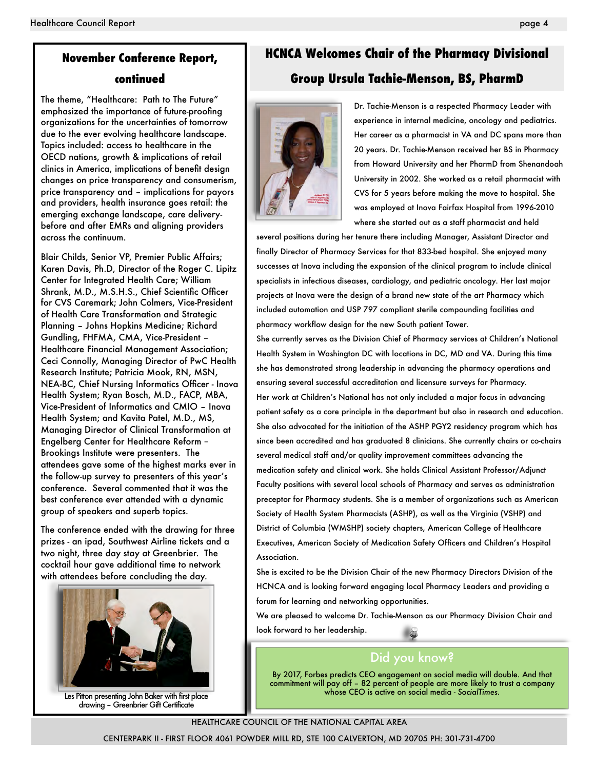## **November Conference Report,**

#### **continued**

The theme, "Healthcare: Path to The Future" emphasized the importance of future-proofing organizations for the uncertainties of tomorrow due to the ever evolving healthcare landscape. Topics included: access to healthcare in the OECD nations, growth & implications of retail clinics in America, implications of benefit design changes on price transparency and consumerism, price transparency and – implications for payors and providers, health insurance goes retail: the emerging exchange landscape, care deliverybefore and after EMRs and aligning providers across the continuum.

Blair Childs, Senior VP, Premier Public Affairs; Karen Davis, Ph.D, Director of the Roger C. Lipitz Center for Integrated Health Care; William Shrank, M.D., M.S.H.S., Chief Scientific Officer for CVS Caremark; John Colmers, Vice-President of Health Care Transformation and Strategic Planning – Johns Hopkins Medicine; Richard Gundling, FHFMA, CMA, Vice-President – Healthcare Financial Management Association; Ceci Connolly, Managing Director of PwC Health Research Institute; Patricia Mook, RN, MSN, NEA-BC, Chief Nursing Informatics Officer - Inova Health System; Ryan Bosch, M.D., FACP, MBA, Vice-President of Informatics and CMIO – Inova Health System; and Kavita Patel, M.D., MS, Managing Director of Clinical Transformation at Engelberg Center for Healthcare Reform – Brookings Institute were presenters. The attendees gave some of the highest marks ever in the follow-up survey to presenters of this year's conference. Several commented that it was the best conference ever attended with a dynamic group of speakers and superb topics.

The conference ended with the drawing for three prizes - an ipad, Southwest Airline tickets and a two night, three day stay at Greenbrier. The cocktail hour gave additional time to network with attendees before concluding the day.



Les Pitton presenting John Baker with first place drawing – Greenbrier Gift Certificate

### **HCNCA Welcomes Chair of the Pharmacy Divisional Group Ursula Tachie-Menson, BS, PharmD**



Dr. Tachie-Menson is a respected Pharmacy Leader with experience in internal medicine, oncology and pediatrics. Her career as a pharmacist in VA and DC spans more than 20 years. Dr. Tachie-Menson received her BS in Pharmacy from Howard University and her PharmD from Shenandoah University in 2002. She worked as a retail pharmacist with CVS for 5 years before making the move to hospital. She was employed at Inova Fairfax Hospital from 1996-2010 where she started out as a staff pharmacist and held

several positions during her tenure there including Manager, Assistant Director and finally Director of Pharmacy Services for that 833-bed hospital. She enjoyed many successes at Inova including the expansion of the clinical program to include clinical specialists in infectious diseases, cardiology, and pediatric oncology. Her last major projects at Inova were the design of a brand new state of the art Pharmacy which included automation and USP 797 compliant sterile compounding facilities and pharmacy workflow design for the new South patient Tower.

She currently serves as the Division Chief of Pharmacy services at Children's National Health System in Washington DC with locations in DC, MD and VA. During this time she has demonstrated strong leadership in advancing the pharmacy operations and ensuring several successful accreditation and licensure surveys for Pharmacy. Her work at Children's National has not only included a major focus in advancing patient safety as a core principle in the department but also in research and education. She also advocated for the initiation of the ASHP PGY2 residency program which has since been accredited and has graduated 8 clinicians. She currently chairs or co-chairs several medical staff and/or quality improvement committees advancing the medication safety and clinical work. She holds Clinical Assistant Professor/Adjunct Faculty positions with several local schools of Pharmacy and serves as administration preceptor for Pharmacy students. She is a member of organizations such as American Society of Health System Pharmacists (ASHP), as well as the Virginia (VSHP) and District of Columbia (WMSHP) society chapters, American College of Healthcare Executives, American Society of Medication Safety Officers and Children's Hospital Association.

She is excited to be the Division Chair of the new Pharmacy Directors Division of the HCNCA and is looking forward engaging local Pharmacy Leaders and providing a forum for learning and networking opportunities.

We are pleased to welcome Dr. Tachie-Menson as our Pharmacy Division Chair and look forward to her leadership.

### Did you know?

By 2017, Forbes predicts CEO engagement on social media will double. And that commitment will pay off – 82 percent of people are more likely to trust a company whose CEO is active on social media - *SocialTimes.*

#### HEALTHCARE COUNCIL OF THE NATIONAL CAPITAL AREA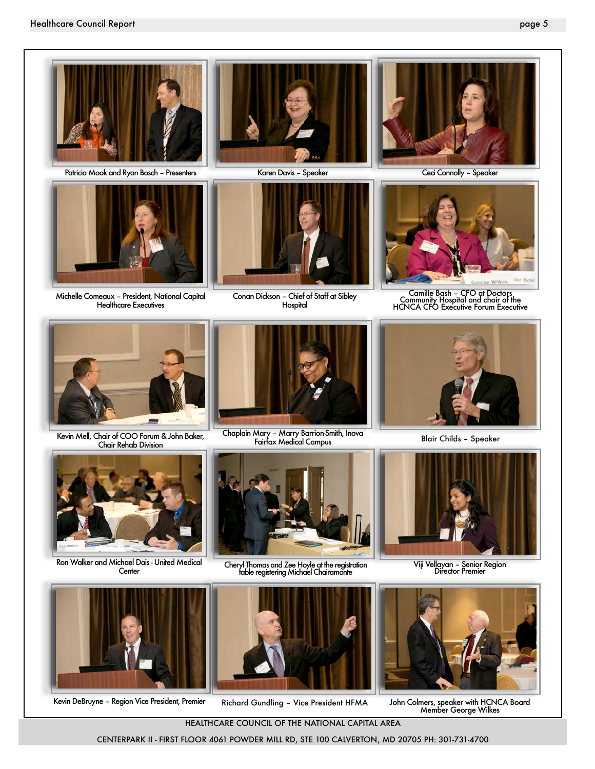

Patricia Mook and Ryan Bosch – Presenters



Michelle Comeaux – President, National Capital Healthcare Executives



Karen Davis – Speaker



Conan Dickson – Chief of Staff at Sibley Hospital



Ceci Connolly – Speaker



Camille Bash – CFO at Doctors Community Hospital and chair of the HCNCA CFO Executive Forum Executive



Kevin Mell, Chair of COO Forum & John Baker, Chair Rehab Division



Chaplain Mary – Marry Barrion-Smith, Inova Fairfax Medical Campus



Blair Childs – Speaker



Ron Walker and Michael Dais - United Medical **Center** 



Cheryl Thomas and Zee Hoyle at the registration table registering Michael Chairamonte



Viji Vellayan – Senior Region Director Premier





Kevin DeBruyne – Region Vice President, Premier Richard Gundling – Vice President HFMA



John Colmers, speaker with HCNCA Board Member George Wilkes

HEALTHCARE COUNCIL OF THE NATIONAL CAPITAL AREA

CENTERPARK II - FIRST FLOOR 4061 POWDER MILL RD, STE 100 CALVERTON, MD 20705 PH: 301-731-4700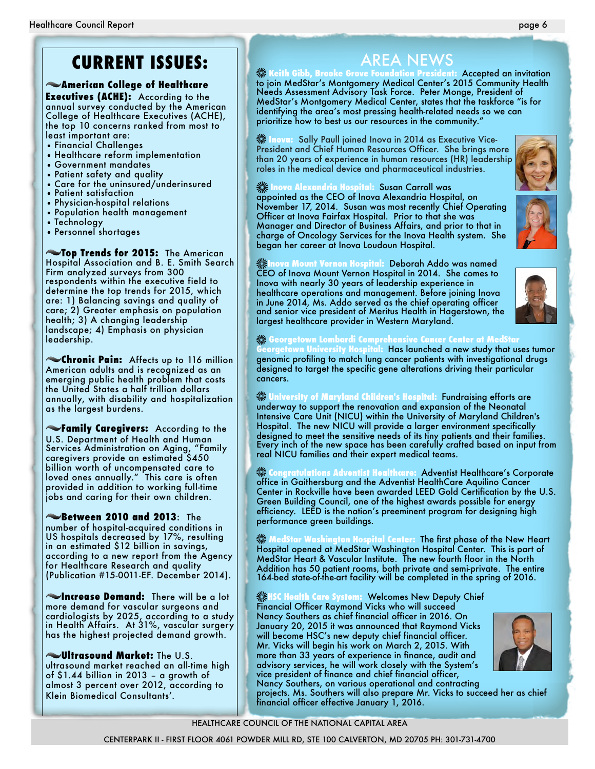# **CURRENT ISSUES:**

#### **American College of Healthcare**

**Executives (ACHE):** According to the annual survey conducted by the American College of Healthcare Executives (ACHE), the top 10 concerns ranked from most to least important are:

- Financial Challenges
- Healthcare reform implementation
- Government mandates
- Patient safety and quality
- Care for the uninsured/underinsured
- Patient satisfaction
- Physician-hospital relations
- Population health management
- Technology
- Personnel shortages

**Top Trends for 2015:** The American Hospital Association and B. E. Smith Search Firm analyzed surveys from 300 respondents within the executive field to determine the top trends for 2015, which are: 1) Balancing savings and quality of care; 2) Greater emphasis on population health; 3) A changing leadership landscape; 4) Emphasis on physician leadership.

**Chronic Pain:** Affects up to 116 million American adults and is recognized as an emerging public health problem that costs the United States a half trillion dollars annually, with disability and hospitalization as the largest burdens.

**Family Caregivers:** According to the U.S. Department of Health and Human Services Administration on Aging, "Family caregivers provide an estimated \$450 billion worth of uncompensated care to loved ones annually." This care is often provided in addition to working full-time jobs and caring for their own children.

**Between 2010 and 2013**: The number of hospital-acquired conditions in US hospitals decreased by 17%, resulting in an estimated \$12 billion in savings, according to a new report from the Agency for Healthcare Research and quality (Publication #15-0011-EF. December 2014).

**Increase Demand:** There will be a lot more demand for vascular surgeons and cardiologists by 2025, according to a study in Health Affairs. At 31%, vascular surgery has the highest projected demand growth.

**Ultrasound Market:** The U.S. ultrasound market reached an all-time high of \$1.44 billion in 2013 – a growth of almost 3 percent over 2012, according to Klein Biomedical Consultants'.

AREA NEWS<br><u>Eleith Gibb, Brooke Grove Fo</u>undation President **Keith Gibb, Brooke Grove Foundation President:** Accepted an invitation to join MedStar's Montgomery Medical Center's 2015 Community Health Needs Assessment Advisory Task Force. Peter Monge, President of MedStar's Montgomery Medical Center, states that the taskforce "is for identifying the area's most pressing health-related needs so we can prioritize how to best us our resources in the community."

**Inova:** Sally Paull joined Inova in 2014 as Executive Vice-President and Chief Human Resources Officer. She brings more than 20 years of experience in human resources (HR) leadership roles in the medical device and pharmaceutical industries.

**External Alexandria Hospital: Susan Carroll was** appointed as the CEO of Inova Alexandria Hospital, on November 17, 2014. Susan was most recently Chief Operating

began her career at Inova Loudoun Hospital.

Officer at Inova Fairfax Hospital. Prior to that she was Manager and Director of Business Affairs, and prior to that in charge of Oncology Services for the Inova Health system. She





**Inova Mount Vernon Hospital:** Deborah Addo was named CEO of Inova Mount Vernon Hospital in 2014. She comes to Inova with nearly 30 years of leadership experience in healthcare operations and management. Before joining Inova in June 2014, Ms. Addo served as the chief operating officer and senior vice president of Meritus Health in Hagerstown, the

### largest healthcare provider in Western Maryland. **Georgetown Lombardi Comprehensive Cancer Center at MedStar**

**Georgetown University Hospital:** Has launched a new study that uses tumor genomic profiling to match lung cancer patients with investigational drugs designed to target the specific gene alterations driving their particular cancers.

**University of Maryland Children's Hospital:** Fundraising efforts are underway to support the renovation and expansion of the Neonatal Intensive Care Unit (NICU) within the University of Maryland Children's Hospital. The new NICU will provide a larger environment specifically designed to meet the sensitive needs of its tiny patients and their families. Every inch of the new space has been carefully crafted based on input from real NICU families and their expert medical teams.

**Congratulations Adventist Healthcare:** Adventist Healthcare's Corporate office in Gaithersburg and the Adventist HealthCare Aquilino Cancer Center in Rockville have been awarded LEED Gold Certification by the U.S. Green Building Council, one of the highest awards possible for energy efficiency. LEED is the nation's preeminent program for designing high performance green buildings.

**WedStar Washington Hospital Center: The first phase of the New Heart** Hospital opened at MedStar Washington Hospital Center. This is part of MedStar Heart & Vascular Institute. The new fourth floor in the North Addition has 50 patient rooms, both private and semi-private. The entire 164-bed state-of-the-art facility will be completed in the spring of 2016.

**HSC Health Care System:** Welcomes New Deputy Chief Financial Officer Raymond Vicks who will succeed Nancy Southers as chief financial officer in 2016. On January 20, 2015 it was announced that Raymond Vicks will become HSC's new deputy chief financial officer. Mr. Vicks will begin his work on March 2, 2015. With more than 33 years of experience in finance, audit and advisory services, he will work closely with the System's vice president of finance and chief financial officer, Nancy Southers, on various operational and contracting projects. Ms. Southers will also prepare Mr. Vicks to succeed her as chief



#### HEALTHCARE COUNCIL OF THE NATIONAL CAPITAL AREA

financial officer effective January 1, 2016.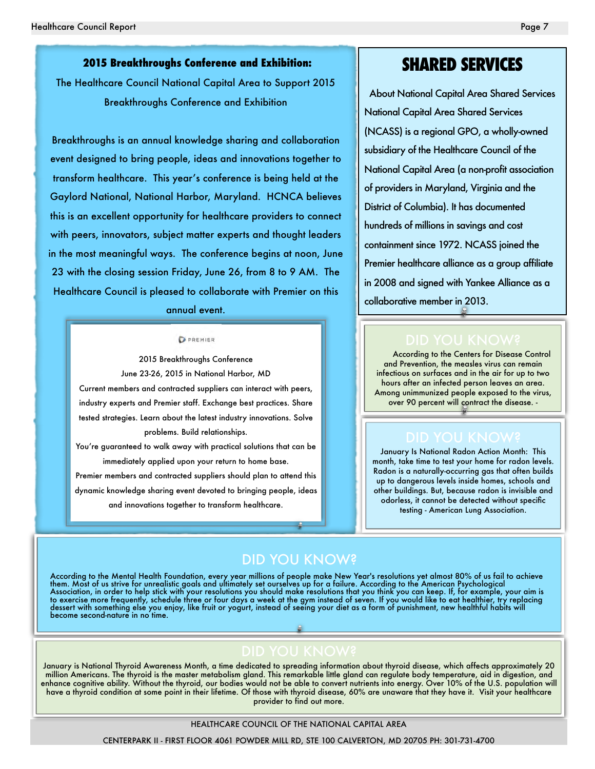#### **2015 Breakthroughs Conference and Exhibition:**

The Healthcare Council National Capital Area to Support 2015 Breakthroughs Conference and Exhibition

Breakthroughs is an annual knowledge sharing and collaboration event designed to bring people, ideas and innovations together to transform healthcare. This year's conference is being held at the Gaylord National, National Harbor, Maryland. HCNCA believes this is an excellent opportunity for healthcare providers to connect with peers, innovators, subject matter experts and thought leaders in the most meaningful ways. The conference begins at noon, June 23 with the closing session Friday, June 26, from 8 to 9 AM. The Healthcare Council is pleased to collaborate with Premier on this

#### annual event.

#### PREMIER

2015 Breakthroughs Conference June 23-26, 2015 in National Harbor, MD Current members and contracted suppliers can interact with peers, industry experts and Premier staff. Exchange best practices. Share tested strategies. Learn about the latest industry innovations. Solve problems. Build relationships.

You're guaranteed to walk away with practical solutions that can be immediately applied upon your return to home base. Premier members and contracted suppliers should plan to attend this dynamic knowledge sharing event devoted to bringing people, ideas and innovations together to transform healthcare.

### **SHARED SERVICES**

About National Capital Area Shared Services National Capital Area Shared Services (NCASS) is a regional GPO, a wholly-owned subsidiary of the Healthcare Council of the National Capital Area (a non-profit association of providers in Maryland, Virginia and the District of Columbia). It has documented hundreds of millions in savings and cost containment since 1972. NCASS joined the Premier healthcare alliance as a group affiliate in 2008 and signed with Yankee Alliance as a collaborative member in 2013.

According to the Centers for Disease Control and Prevention, the measles virus can remain infectious on surfaces and in the air for up to two hours after an infected person leaves an area. Among unimmunized people exposed to the virus, over 90 percent will contract the disease. -

January Is National Radon Action Month: This month, take time to test your home for radon levels. Radon is a naturally-occurring gas that often builds up to dangerous levels inside homes, schools and other buildings. But, because radon is invisible and odorless, it cannot be detected without specific testing - American Lung Association.

### DID YOU KNOW?

According to the Mental Health Foundation, every year millions of people make New Year's resolutions yet almost 80% of us fail to achieve them. Most of us strive for unrealistic goals and ultimately set ourselves up for a failure. According to the American Psychological Association, in order to help stick with your resolutions you should make resolutions that you think you can keep. If, for example, your aim is to exercise more frequently, schedule three or four days a week at the gym instead of seven. If you would like to eat healthier, try replacing dessert with something else you enjoy, like fruit or yogurt, instead of seeing your diet as a form of punishment, new healthful habits will become second-nature in no time.

January is National Thyroid Awareness Month, a time dedicated to spreading information about thyroid disease, which affects approximately 20 million Americans. The thyroid is the master metabolism gland. This remarkable little gland can regulate body temperature, aid in digestion, and enhance cognitive ability. Without the thyroid, our bodies would not be able to convert nutrients into energy. Over 10% of the U.S. population will have a thyroid condition at some point in their lifetime. Of those with thyroid disease, 60% are unaware that they have it. Visit your healthcare provider to find out more.

#### HEALTHCARE COUNCIL OF THE NATIONAL CAPITAL AREA